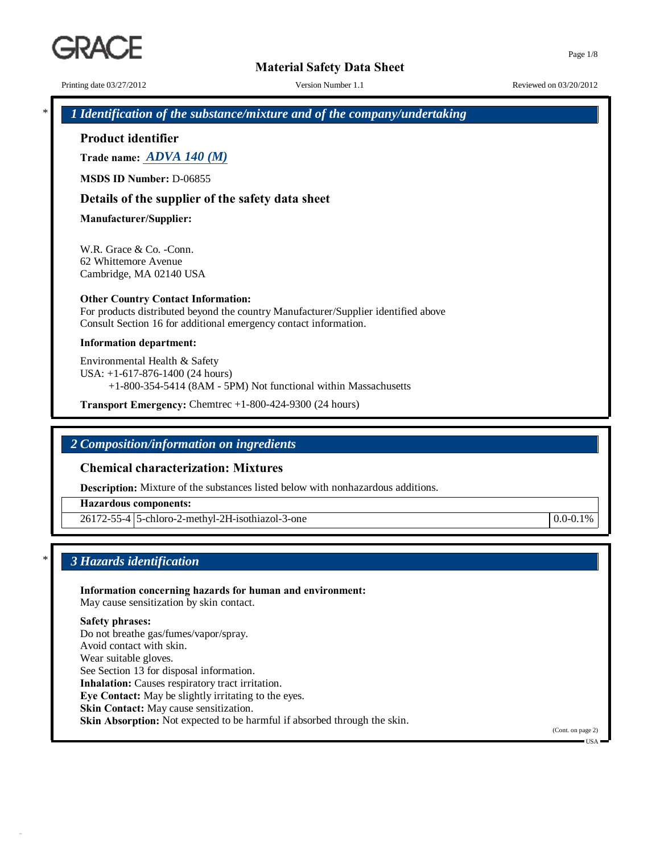Printing date 03/27/2012 Version Number 1.1 Reviewed on 03/20/2012

Page 1/8

\* *1 Identification of the substance/mixture and of the company/undertaking*

**Product identifier**

**Trade name:** *ADVA 140 (M)*

**MSDS ID Number:** D-06855

### **Details of the supplier of the safety data sheet**

**Manufacturer/Supplier:**

W.R. Grace & Co. -Conn. 62 Whittemore Avenue Cambridge, MA 02140 USA

#### **Other Country Contact Information:**

For products distributed beyond the country Manufacturer/Supplier identified above Consult Section 16 for additional emergency contact information.

#### **Information department:**

Environmental Health & Safety USA: +1-617-876-1400 (24 hours) +1-800-354-5414 (8AM - 5PM) Not functional within Massachusetts

**Transport Emergency:** Chemtrec +1-800-424-9300 (24 hours)

# *2 Composition/information on ingredients*

# **Chemical characterization: Mixtures**

**Description:** Mixture of the substances listed below with nonhazardous additions.

**Hazardous components:**

26172-55-4 5-chloro-2-methyl-2H-isothiazol-3-one 0.0-0.1%

\* *3 Hazards identification*

**Information concerning hazards for human and environment:** May cause sensitization by skin contact. **Safety phrases:** Do not breathe gas/fumes/vapor/spray. Avoid contact with skin.

Wear suitable gloves. See Section 13 for disposal information. **Inhalation:** Causes respiratory tract irritation. **Eye Contact:** May be slightly irritating to the eyes. **Skin Contact:** May cause sensitization. **Skin Absorption:** Not expected to be harmful if absorbed through the skin.

(Cont. on page 2)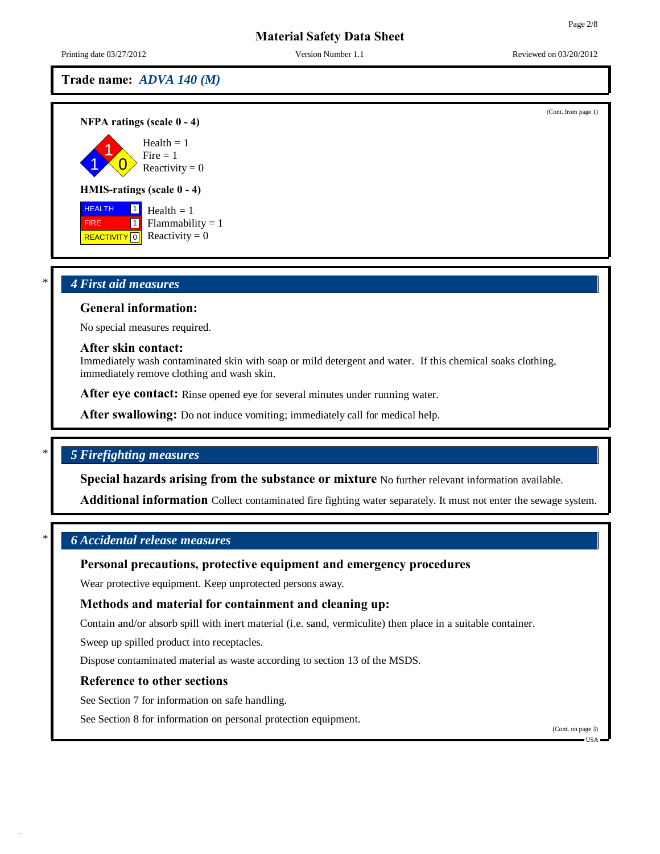(Cont. from page 1)

# **Material Safety Data Sheet**

Printing date 03/27/2012 Version Number 1.1 Reviewed on 03/20/2012

# **Trade name:** *ADVA 140 (M)*

**NFPA ratings (scale 0 - 4)**

1 1  $\overline{0}$ Health  $= 1$  $Fire = 1$ Reactivity  $= 0$ 

#### **HMIS-ratings (scale 0 - 4)**

 HEALTH FIRE **REACTIVITY** 0 1 1 Health  $= 1$  $Flammability = 1$  $Reactivity = 0$ 

# \* *4 First aid measures*

### **General information:**

No special measures required.

#### **After skin contact:**

Immediately wash contaminated skin with soap or mild detergent and water. If this chemical soaks clothing, immediately remove clothing and wash skin.

**After eye contact:** Rinse opened eye for several minutes under running water.

**After swallowing:** Do not induce vomiting; immediately call for medical help.

# \* *5 Firefighting measures*

**Special hazards arising from the substance or mixture** No further relevant information available.

**Additional information** Collect contaminated fire fighting water separately. It must not enter the sewage system.

# \* *6 Accidental release measures*

### **Personal precautions, protective equipment and emergency procedures**

Wear protective equipment. Keep unprotected persons away.

# **Methods and material for containment and cleaning up:**

Contain and/or absorb spill with inert material (i.e. sand, vermiculite) then place in a suitable container.

Sweep up spilled product into receptacles.

Dispose contaminated material as waste according to section 13 of the MSDS.

### **Reference to other sections**

See Section 7 for information on safe handling.

See Section 8 for information on personal protection equipment.

(Cont. on page 3)

 $\blacksquare$  USA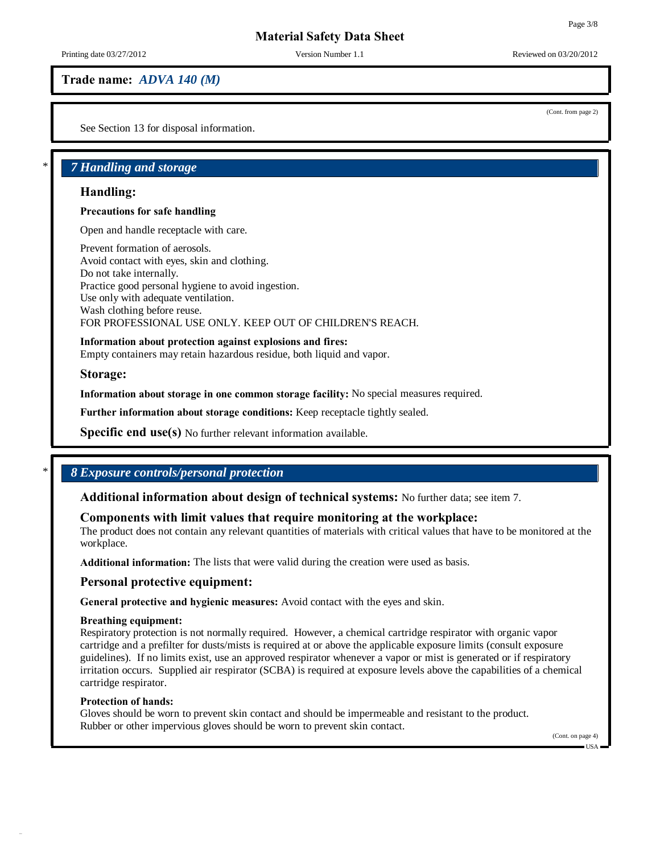Printing date 03/27/2012 Version Number 1.1 Reviewed on 03/20/2012

(Cont. from page 2)

# **Trade name:** *ADVA 140 (M)*

See Section 13 for disposal information.

# \* *7 Handling and storage*

### **Handling:**

#### **Precautions for safe handling**

Open and handle receptacle with care.

Prevent formation of aerosols. Avoid contact with eyes, skin and clothing. Do not take internally. Practice good personal hygiene to avoid ingestion. Use only with adequate ventilation. Wash clothing before reuse. FOR PROFESSIONAL USE ONLY. KEEP OUT OF CHILDREN'S REACH.

#### **Information about protection against explosions and fires:**

Empty containers may retain hazardous residue, both liquid and vapor.

**Storage:**

**Information about storage in one common storage facility:** No special measures required.

**Further information about storage conditions:** Keep receptacle tightly sealed.

**Specific end use(s)** No further relevant information available.

# \* *8 Exposure controls/personal protection*

**Additional information about design of technical systems:** No further data; see item 7.

# **Components with limit values that require monitoring at the workplace:**

The product does not contain any relevant quantities of materials with critical values that have to be monitored at the workplace.

**Additional information:** The lists that were valid during the creation were used as basis.

# **Personal protective equipment:**

**General protective and hygienic measures:** Avoid contact with the eyes and skin.

#### **Breathing equipment:**

Respiratory protection is not normally required. However, a chemical cartridge respirator with organic vapor cartridge and a prefilter for dusts/mists is required at or above the applicable exposure limits (consult exposure guidelines). If no limits exist, use an approved respirator whenever a vapor or mist is generated or if respiratory irritation occurs. Supplied air respirator (SCBA) is required at exposure levels above the capabilities of a chemical cartridge respirator.

### **Protection of hands:**

Gloves should be worn to prevent skin contact and should be impermeable and resistant to the product. Rubber or other impervious gloves should be worn to prevent skin contact.

(Cont. on page 4)

#### USA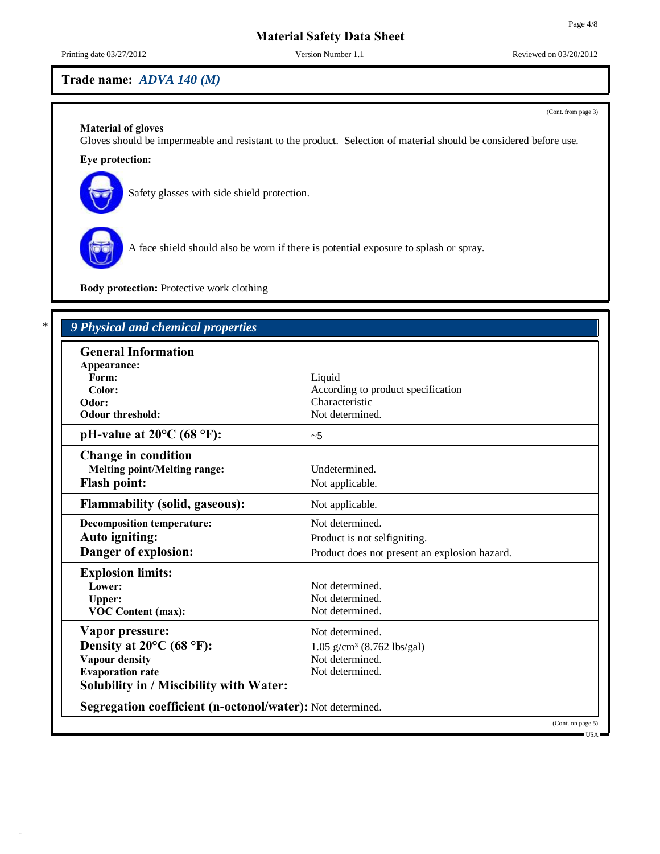Printing date 03/27/2012 Version Number 1.1 Reviewed on 03/20/2012

# **Trade name:** *ADVA 140 (M)*

(Cont. from page 3)

# **Material of gloves**

Gloves should be impermeable and resistant to the product. Selection of material should be considered before use.

# **Eye protection:**



Safety glasses with side shield protection.



A face shield should also be worn if there is potential exposure to splash or spray.

**Body protection:** Protective work clothing

| According to product specification            |  |
|-----------------------------------------------|--|
|                                               |  |
|                                               |  |
|                                               |  |
|                                               |  |
|                                               |  |
| Not applicable.                               |  |
| Not applicable.                               |  |
| Not determined.                               |  |
| Product is not selfigniting.                  |  |
| Product does not present an explosion hazard. |  |
|                                               |  |
|                                               |  |
| Not determined.                               |  |
|                                               |  |
|                                               |  |
| $1.05$ g/cm <sup>3</sup> (8.762 lbs/gal)      |  |
| Not determined.                               |  |
|                                               |  |
|                                               |  |
|                                               |  |

USA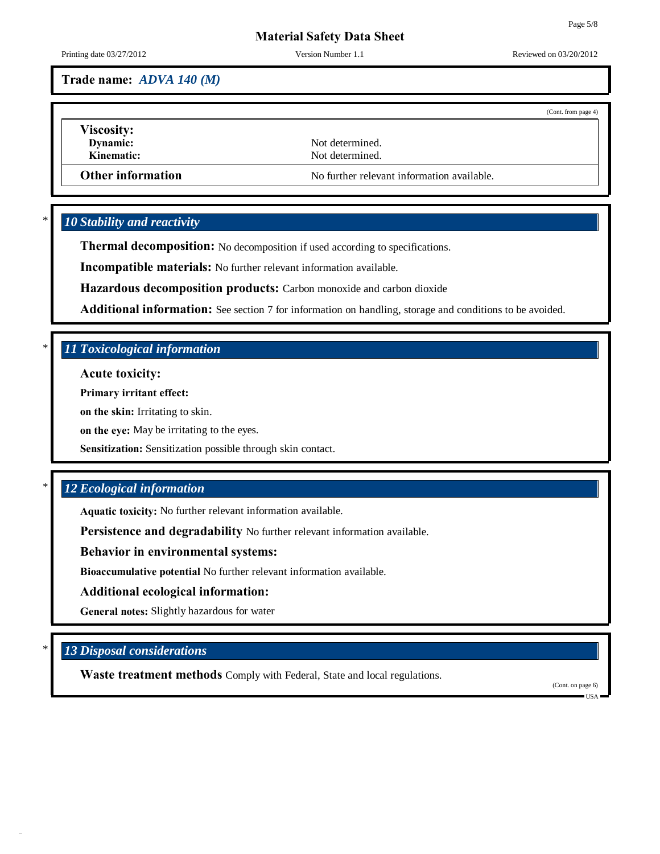Printing date 03/27/2012 Version Number 1.1 Reviewed on 03/20/2012

Page 5/8

**Trade name:** *ADVA 140 (M)*

|                          |                                            | (Cont. from page 4) |
|--------------------------|--------------------------------------------|---------------------|
| <b>Viscosity:</b>        |                                            |                     |
| Dynamic:                 | Not determined.                            |                     |
| Kinematic:               | Not determined.                            |                     |
| <b>Other information</b> | No further relevant information available. |                     |

# \* *10 Stability and reactivity*

**Thermal decomposition:** No decomposition if used according to specifications.

**Incompatible materials:** No further relevant information available.

**Hazardous decomposition products:** Carbon monoxide and carbon dioxide

**Additional information:** See section 7 for information on handling, storage and conditions to be avoided.

# \* *11 Toxicological information*

**Acute toxicity:**

**Primary irritant effect:**

**on the skin:** Irritating to skin.

**on the eye:** May be irritating to the eyes.

**Sensitization:** Sensitization possible through skin contact.

# \* *12 Ecological information*

**Aquatic toxicity:** No further relevant information available.

**Persistence and degradability** No further relevant information available.

**Behavior in environmental systems:**

**Bioaccumulative potential** No further relevant information available.

### **Additional ecological information:**

**General notes:** Slightly hazardous for water

# \* *13 Disposal considerations*

**Waste treatment methods** Comply with Federal, State and local regulations.

(Cont. on page 6)

 $IISA$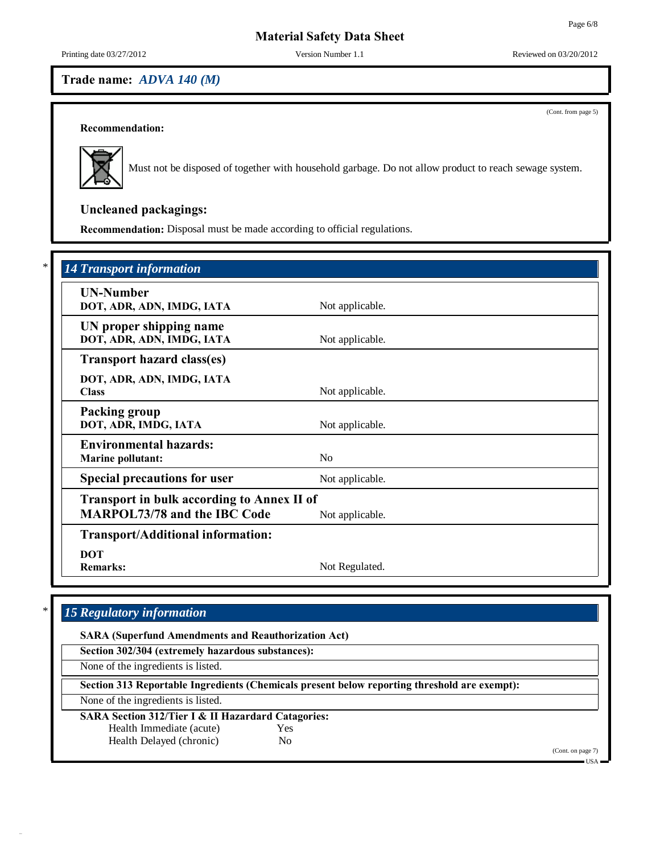(Cont. from page 5)

# **Material Safety Data Sheet**

Printing date 03/27/2012 Version Number 1.1 Reviewed on 03/20/2012

# **Trade name:** *ADVA 140 (M)*

**Recommendation:**



Must not be disposed of together with household garbage. Do not allow product to reach sewage system.

# **Uncleaned packagings:**

**Recommendation:** Disposal must be made according to official regulations.

# \* *14 Transport information*

| <b>UN-Number</b><br>DOT, ADR, ADN, IMDG, IATA                                                               | Not applicable. |  |
|-------------------------------------------------------------------------------------------------------------|-----------------|--|
| UN proper shipping name<br>DOT, ADR, ADN, IMDG, IATA                                                        | Not applicable. |  |
| <b>Transport hazard class(es)</b>                                                                           |                 |  |
| DOT, ADR, ADN, IMDG, IATA<br><b>Class</b>                                                                   | Not applicable. |  |
| Packing group<br>DOT, ADR, IMDG, IATA                                                                       | Not applicable. |  |
| <b>Environmental hazards:</b><br><b>Marine pollutant:</b>                                                   | No              |  |
| <b>Special precautions for user</b>                                                                         | Not applicable. |  |
| <b>Transport in bulk according to Annex II of</b><br><b>MARPOL73/78 and the IBC Code</b><br>Not applicable. |                 |  |
| <b>Transport/Additional information:</b>                                                                    |                 |  |
| <b>DOT</b><br><b>Remarks:</b>                                                                               | Not Regulated.  |  |

# \* *15 Regulatory information*

**SARA (Superfund Amendments and Reauthorization Act)**

**Section 302/304 (extremely hazardous substances):**

None of the ingredients is listed.

**Section 313 Reportable Ingredients (Chemicals present below reporting threshold are exempt):**

None of the ingredients is listed.

### **SARA Section 312/Tier I & II Hazardard Catagories:**

Health Immediate (acute) Yes

Health Delayed (chronic) No

(Cont. on page 7)

USA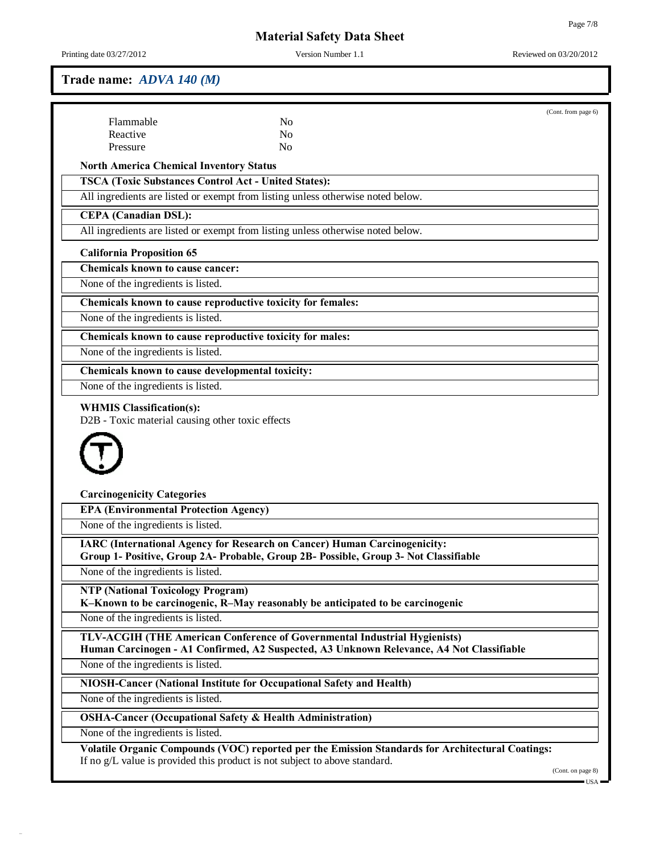34.0.9

Printing date 03/27/2012 Version Number 1.1 Reviewed on 03/20/2012

# **Trade name:** *ADVA 140 (M)*

| Flammable<br>N <sub>o</sub><br>Reactive<br>N <sub>0</sub><br>Pressure<br>No<br><b>North America Chemical Inventory Status</b><br><b>TSCA (Toxic Substances Control Act - United States):</b><br>All ingredients are listed or exempt from listing unless otherwise noted below.<br><b>CEPA</b> (Canadian DSL):<br>All ingredients are listed or exempt from listing unless otherwise noted below.<br><b>Chemicals known to cause cancer:</b><br>None of the ingredients is listed.<br>Chemicals known to cause reproductive toxicity for females:<br>Chemicals known to cause reproductive toxicity for males:<br>Chemicals known to cause developmental toxicity:<br><b>WHMIS Classification(s):</b><br>D2B - Toxic material causing other toxic effects<br><b>Carcinogenicity Categories</b><br><b>EPA (Environmental Protection Agency)</b><br>None of the ingredients is listed.<br><b>IARC (International Agency for Research on Cancer) Human Carcinogenicity:</b><br>Group 1- Positive, Group 2A- Probable, Group 2B- Possible, Group 3- Not Classifiable<br>None of the ingredients is listed.<br><b>NTP (National Toxicology Program)</b><br>K-Known to be carcinogenic, R-May reasonably be anticipated to be carcinogenic<br><b>TLV-ACGIH (THE American Conference of Governmental Industrial Hygienists)</b><br>Human Carcinogen - A1 Confirmed, A2 Suspected, A3 Unknown Relevance, A4 Not Classifiable<br>NIOSH-Cancer (National Institute for Occupational Safety and Health)<br><b>OSHA-Cancer (Occupational Safety &amp; Health Administration)</b><br>Volatile Organic Compounds (VOC) reported per the Emission Standards for Architectural Coatings:<br>If no g/L value is provided this product is not subject to above standard.<br>(Cont. on page 8) |                                    |  | (Cont. from page 6) |
|-----------------------------------------------------------------------------------------------------------------------------------------------------------------------------------------------------------------------------------------------------------------------------------------------------------------------------------------------------------------------------------------------------------------------------------------------------------------------------------------------------------------------------------------------------------------------------------------------------------------------------------------------------------------------------------------------------------------------------------------------------------------------------------------------------------------------------------------------------------------------------------------------------------------------------------------------------------------------------------------------------------------------------------------------------------------------------------------------------------------------------------------------------------------------------------------------------------------------------------------------------------------------------------------------------------------------------------------------------------------------------------------------------------------------------------------------------------------------------------------------------------------------------------------------------------------------------------------------------------------------------------------------------------------------------------------------------------------------------------------------------------------------------|------------------------------------|--|---------------------|
|                                                                                                                                                                                                                                                                                                                                                                                                                                                                                                                                                                                                                                                                                                                                                                                                                                                                                                                                                                                                                                                                                                                                                                                                                                                                                                                                                                                                                                                                                                                                                                                                                                                                                                                                                                             |                                    |  |                     |
|                                                                                                                                                                                                                                                                                                                                                                                                                                                                                                                                                                                                                                                                                                                                                                                                                                                                                                                                                                                                                                                                                                                                                                                                                                                                                                                                                                                                                                                                                                                                                                                                                                                                                                                                                                             |                                    |  |                     |
|                                                                                                                                                                                                                                                                                                                                                                                                                                                                                                                                                                                                                                                                                                                                                                                                                                                                                                                                                                                                                                                                                                                                                                                                                                                                                                                                                                                                                                                                                                                                                                                                                                                                                                                                                                             |                                    |  |                     |
|                                                                                                                                                                                                                                                                                                                                                                                                                                                                                                                                                                                                                                                                                                                                                                                                                                                                                                                                                                                                                                                                                                                                                                                                                                                                                                                                                                                                                                                                                                                                                                                                                                                                                                                                                                             |                                    |  |                     |
|                                                                                                                                                                                                                                                                                                                                                                                                                                                                                                                                                                                                                                                                                                                                                                                                                                                                                                                                                                                                                                                                                                                                                                                                                                                                                                                                                                                                                                                                                                                                                                                                                                                                                                                                                                             |                                    |  |                     |
|                                                                                                                                                                                                                                                                                                                                                                                                                                                                                                                                                                                                                                                                                                                                                                                                                                                                                                                                                                                                                                                                                                                                                                                                                                                                                                                                                                                                                                                                                                                                                                                                                                                                                                                                                                             |                                    |  |                     |
|                                                                                                                                                                                                                                                                                                                                                                                                                                                                                                                                                                                                                                                                                                                                                                                                                                                                                                                                                                                                                                                                                                                                                                                                                                                                                                                                                                                                                                                                                                                                                                                                                                                                                                                                                                             |                                    |  |                     |
|                                                                                                                                                                                                                                                                                                                                                                                                                                                                                                                                                                                                                                                                                                                                                                                                                                                                                                                                                                                                                                                                                                                                                                                                                                                                                                                                                                                                                                                                                                                                                                                                                                                                                                                                                                             |                                    |  |                     |
|                                                                                                                                                                                                                                                                                                                                                                                                                                                                                                                                                                                                                                                                                                                                                                                                                                                                                                                                                                                                                                                                                                                                                                                                                                                                                                                                                                                                                                                                                                                                                                                                                                                                                                                                                                             | <b>California Proposition 65</b>   |  |                     |
|                                                                                                                                                                                                                                                                                                                                                                                                                                                                                                                                                                                                                                                                                                                                                                                                                                                                                                                                                                                                                                                                                                                                                                                                                                                                                                                                                                                                                                                                                                                                                                                                                                                                                                                                                                             |                                    |  |                     |
|                                                                                                                                                                                                                                                                                                                                                                                                                                                                                                                                                                                                                                                                                                                                                                                                                                                                                                                                                                                                                                                                                                                                                                                                                                                                                                                                                                                                                                                                                                                                                                                                                                                                                                                                                                             |                                    |  |                     |
|                                                                                                                                                                                                                                                                                                                                                                                                                                                                                                                                                                                                                                                                                                                                                                                                                                                                                                                                                                                                                                                                                                                                                                                                                                                                                                                                                                                                                                                                                                                                                                                                                                                                                                                                                                             |                                    |  |                     |
|                                                                                                                                                                                                                                                                                                                                                                                                                                                                                                                                                                                                                                                                                                                                                                                                                                                                                                                                                                                                                                                                                                                                                                                                                                                                                                                                                                                                                                                                                                                                                                                                                                                                                                                                                                             | None of the ingredients is listed. |  |                     |
|                                                                                                                                                                                                                                                                                                                                                                                                                                                                                                                                                                                                                                                                                                                                                                                                                                                                                                                                                                                                                                                                                                                                                                                                                                                                                                                                                                                                                                                                                                                                                                                                                                                                                                                                                                             |                                    |  |                     |
|                                                                                                                                                                                                                                                                                                                                                                                                                                                                                                                                                                                                                                                                                                                                                                                                                                                                                                                                                                                                                                                                                                                                                                                                                                                                                                                                                                                                                                                                                                                                                                                                                                                                                                                                                                             | None of the ingredients is listed. |  |                     |
|                                                                                                                                                                                                                                                                                                                                                                                                                                                                                                                                                                                                                                                                                                                                                                                                                                                                                                                                                                                                                                                                                                                                                                                                                                                                                                                                                                                                                                                                                                                                                                                                                                                                                                                                                                             |                                    |  |                     |
|                                                                                                                                                                                                                                                                                                                                                                                                                                                                                                                                                                                                                                                                                                                                                                                                                                                                                                                                                                                                                                                                                                                                                                                                                                                                                                                                                                                                                                                                                                                                                                                                                                                                                                                                                                             | None of the ingredients is listed. |  |                     |
|                                                                                                                                                                                                                                                                                                                                                                                                                                                                                                                                                                                                                                                                                                                                                                                                                                                                                                                                                                                                                                                                                                                                                                                                                                                                                                                                                                                                                                                                                                                                                                                                                                                                                                                                                                             |                                    |  |                     |
|                                                                                                                                                                                                                                                                                                                                                                                                                                                                                                                                                                                                                                                                                                                                                                                                                                                                                                                                                                                                                                                                                                                                                                                                                                                                                                                                                                                                                                                                                                                                                                                                                                                                                                                                                                             |                                    |  |                     |
|                                                                                                                                                                                                                                                                                                                                                                                                                                                                                                                                                                                                                                                                                                                                                                                                                                                                                                                                                                                                                                                                                                                                                                                                                                                                                                                                                                                                                                                                                                                                                                                                                                                                                                                                                                             |                                    |  |                     |
|                                                                                                                                                                                                                                                                                                                                                                                                                                                                                                                                                                                                                                                                                                                                                                                                                                                                                                                                                                                                                                                                                                                                                                                                                                                                                                                                                                                                                                                                                                                                                                                                                                                                                                                                                                             |                                    |  |                     |
|                                                                                                                                                                                                                                                                                                                                                                                                                                                                                                                                                                                                                                                                                                                                                                                                                                                                                                                                                                                                                                                                                                                                                                                                                                                                                                                                                                                                                                                                                                                                                                                                                                                                                                                                                                             |                                    |  |                     |
|                                                                                                                                                                                                                                                                                                                                                                                                                                                                                                                                                                                                                                                                                                                                                                                                                                                                                                                                                                                                                                                                                                                                                                                                                                                                                                                                                                                                                                                                                                                                                                                                                                                                                                                                                                             |                                    |  |                     |
|                                                                                                                                                                                                                                                                                                                                                                                                                                                                                                                                                                                                                                                                                                                                                                                                                                                                                                                                                                                                                                                                                                                                                                                                                                                                                                                                                                                                                                                                                                                                                                                                                                                                                                                                                                             |                                    |  |                     |
|                                                                                                                                                                                                                                                                                                                                                                                                                                                                                                                                                                                                                                                                                                                                                                                                                                                                                                                                                                                                                                                                                                                                                                                                                                                                                                                                                                                                                                                                                                                                                                                                                                                                                                                                                                             | None of the ingredients is listed. |  |                     |
|                                                                                                                                                                                                                                                                                                                                                                                                                                                                                                                                                                                                                                                                                                                                                                                                                                                                                                                                                                                                                                                                                                                                                                                                                                                                                                                                                                                                                                                                                                                                                                                                                                                                                                                                                                             |                                    |  |                     |
|                                                                                                                                                                                                                                                                                                                                                                                                                                                                                                                                                                                                                                                                                                                                                                                                                                                                                                                                                                                                                                                                                                                                                                                                                                                                                                                                                                                                                                                                                                                                                                                                                                                                                                                                                                             | None of the ingredients is listed. |  |                     |
|                                                                                                                                                                                                                                                                                                                                                                                                                                                                                                                                                                                                                                                                                                                                                                                                                                                                                                                                                                                                                                                                                                                                                                                                                                                                                                                                                                                                                                                                                                                                                                                                                                                                                                                                                                             |                                    |  |                     |
|                                                                                                                                                                                                                                                                                                                                                                                                                                                                                                                                                                                                                                                                                                                                                                                                                                                                                                                                                                                                                                                                                                                                                                                                                                                                                                                                                                                                                                                                                                                                                                                                                                                                                                                                                                             | None of the ingredients is listed. |  |                     |
|                                                                                                                                                                                                                                                                                                                                                                                                                                                                                                                                                                                                                                                                                                                                                                                                                                                                                                                                                                                                                                                                                                                                                                                                                                                                                                                                                                                                                                                                                                                                                                                                                                                                                                                                                                             |                                    |  |                     |
|                                                                                                                                                                                                                                                                                                                                                                                                                                                                                                                                                                                                                                                                                                                                                                                                                                                                                                                                                                                                                                                                                                                                                                                                                                                                                                                                                                                                                                                                                                                                                                                                                                                                                                                                                                             | None of the ingredients is listed. |  |                     |
|                                                                                                                                                                                                                                                                                                                                                                                                                                                                                                                                                                                                                                                                                                                                                                                                                                                                                                                                                                                                                                                                                                                                                                                                                                                                                                                                                                                                                                                                                                                                                                                                                                                                                                                                                                             |                                    |  |                     |
|                                                                                                                                                                                                                                                                                                                                                                                                                                                                                                                                                                                                                                                                                                                                                                                                                                                                                                                                                                                                                                                                                                                                                                                                                                                                                                                                                                                                                                                                                                                                                                                                                                                                                                                                                                             |                                    |  |                     |